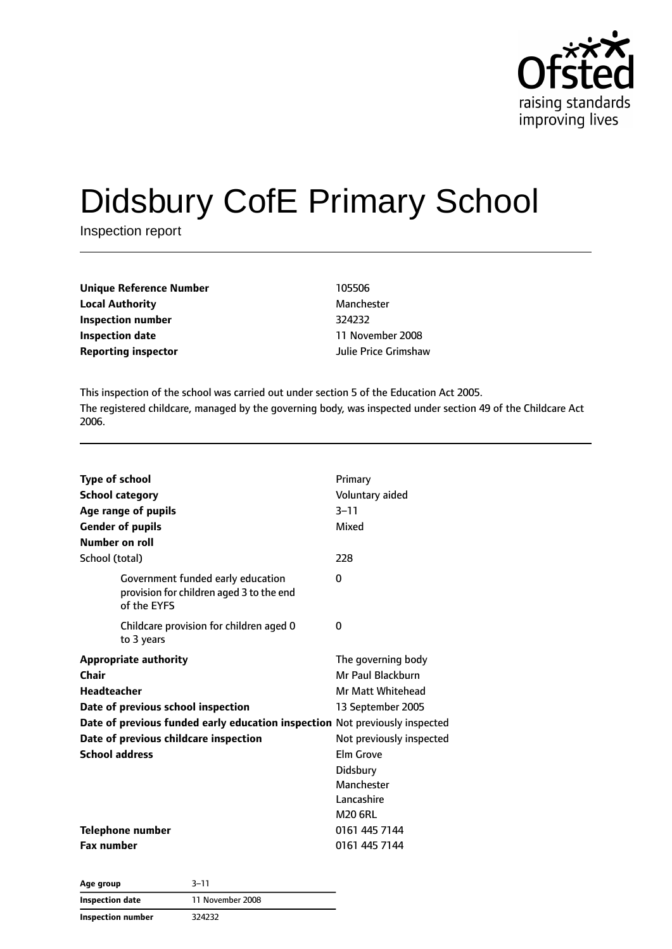

# Didsbury CofE Primary School

Inspection report

| <b>Unique Reference Number</b> | 105506               |
|--------------------------------|----------------------|
| <b>Local Authority</b>         | Manchester           |
| Inspection number              | 324232               |
| Inspection date                | 11 November 2008     |
| <b>Reporting inspector</b>     | Julie Price Grimshaw |

**Local Authority** Manchester **Inspection date** 11 November 2008

This inspection of the school was carried out under section 5 of the Education Act 2005. The registered childcare, managed by the governing body, was inspected under section 49 of the Childcare Act 2006.

| <b>Type of school</b>                                                                        | Primary                  |
|----------------------------------------------------------------------------------------------|--------------------------|
| <b>School category</b>                                                                       | Voluntary aided          |
| Age range of pupils                                                                          | $3 - 11$                 |
| <b>Gender of pupils</b>                                                                      | Mixed                    |
| Number on roll                                                                               |                          |
| School (total)                                                                               | 228                      |
| Government funded early education<br>provision for children aged 3 to the end<br>of the EYFS | O                        |
| Childcare provision for children aged 0<br>to 3 years                                        | 0                        |
| <b>Appropriate authority</b>                                                                 | The governing body       |
| Chair                                                                                        | Mr Paul Blackburn        |
| <b>Headteacher</b>                                                                           | Mr Matt Whitehead        |
| Date of previous school inspection                                                           | 13 September 2005        |
| Date of previous funded early education inspection Not previously inspected                  |                          |
| Date of previous childcare inspection                                                        | Not previously inspected |
| <b>School address</b>                                                                        | Elm Grove                |
|                                                                                              | Didsbury                 |
|                                                                                              | Manchester               |
|                                                                                              | Lancashire               |
|                                                                                              | <b>M20 6RL</b>           |
| Telephone number                                                                             | 0161 445 7144            |
| <b>Fax number</b>                                                                            | 0161 445 7144            |

**Age group** 3–11 **Inspection date** 11 November 2008 **Inspection number** 324232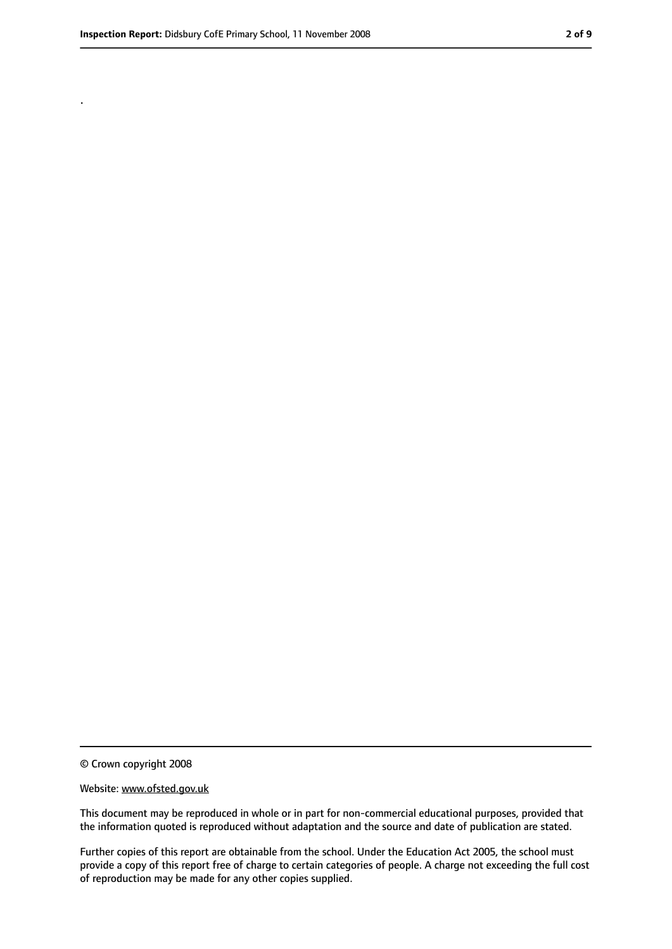.

<sup>©</sup> Crown copyright 2008

Website: www.ofsted.gov.uk

This document may be reproduced in whole or in part for non-commercial educational purposes, provided that the information quoted is reproduced without adaptation and the source and date of publication are stated.

Further copies of this report are obtainable from the school. Under the Education Act 2005, the school must provide a copy of this report free of charge to certain categories of people. A charge not exceeding the full cost of reproduction may be made for any other copies supplied.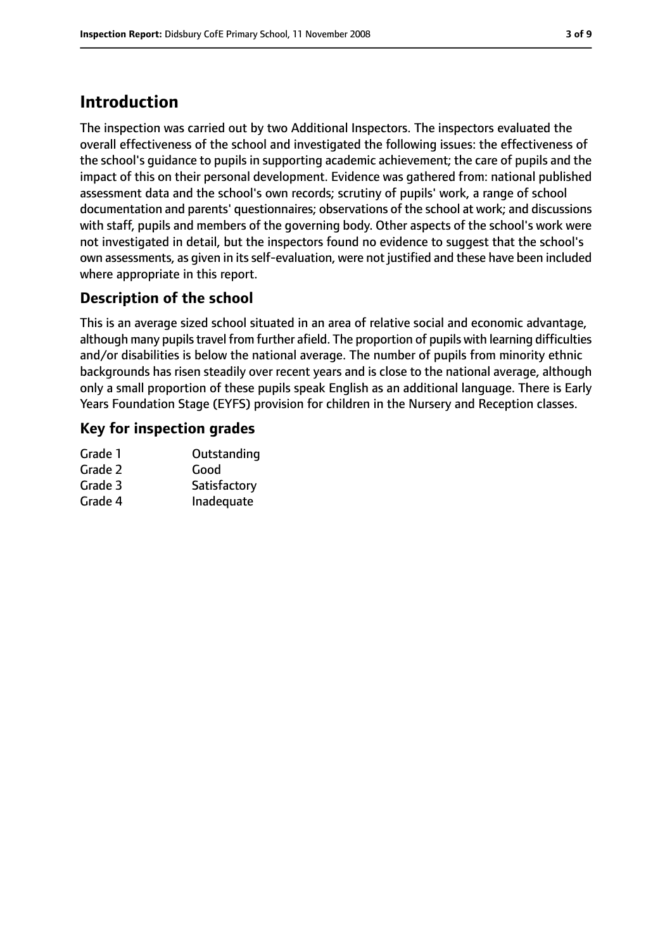## **Introduction**

The inspection was carried out by two Additional Inspectors. The inspectors evaluated the overall effectiveness of the school and investigated the following issues: the effectiveness of the school's guidance to pupils in supporting academic achievement; the care of pupils and the impact of this on their personal development. Evidence was gathered from: national published assessment data and the school's own records; scrutiny of pupils' work, a range of school documentation and parents' questionnaires; observations of the school at work; and discussions with staff, pupils and members of the governing body. Other aspects of the school's work were not investigated in detail, but the inspectors found no evidence to suggest that the school's own assessments, as given in its self-evaluation, were not justified and these have been included where appropriate in this report.

#### **Description of the school**

This is an average sized school situated in an area of relative social and economic advantage, although many pupils travel from further afield. The proportion of pupils with learning difficulties and/or disabilities is below the national average. The number of pupils from minority ethnic backgrounds has risen steadily over recent years and is close to the national average, although only a small proportion of these pupils speak English as an additional language. There is Early Years Foundation Stage (EYFS) provision for children in the Nursery and Reception classes.

#### **Key for inspection grades**

| Grade 1 | Outstanding  |
|---------|--------------|
| Grade 2 | Good         |
| Grade 3 | Satisfactory |
| Grade 4 | Inadequate   |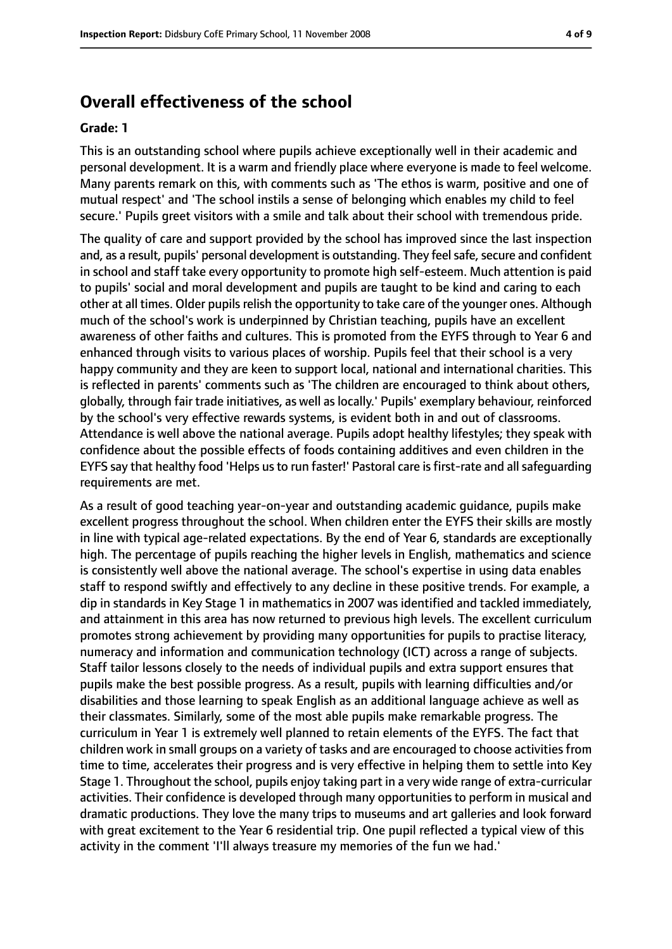#### **Overall effectiveness of the school**

#### **Grade: 1**

This is an outstanding school where pupils achieve exceptionally well in their academic and personal development. It is a warm and friendly place where everyone is made to feel welcome. Many parents remark on this, with comments such as 'The ethos is warm, positive and one of mutual respect' and 'The school instils a sense of belonging which enables my child to feel secure.' Pupils greet visitors with a smile and talk about their school with tremendous pride.

The quality of care and support provided by the school has improved since the last inspection and, as a result, pupils' personal development is outstanding. They feel safe, secure and confident in school and staff take every opportunity to promote high self-esteem. Much attention is paid to pupils' social and moral development and pupils are taught to be kind and caring to each other at all times. Older pupilsrelish the opportunity to take care of the younger ones. Although much of the school's work is underpinned by Christian teaching, pupils have an excellent awareness of other faiths and cultures. This is promoted from the EYFS through to Year 6 and enhanced through visits to various places of worship. Pupils feel that their school is a very happy community and they are keen to support local, national and international charities. This is reflected in parents' comments such as 'The children are encouraged to think about others, globally, through fair trade initiatives, as well as locally.' Pupils' exemplary behaviour, reinforced by the school's very effective rewards systems, is evident both in and out of classrooms. Attendance is well above the national average. Pupils adopt healthy lifestyles; they speak with confidence about the possible effects of foods containing additives and even children in the EYFS say that healthy food 'Helps us to run faster!' Pastoral care is first-rate and all safequarding requirements are met.

As a result of good teaching year-on-year and outstanding academic guidance, pupils make excellent progress throughout the school. When children enter the EYFS their skills are mostly in line with typical age-related expectations. By the end of Year 6, standards are exceptionally high. The percentage of pupils reaching the higher levels in English, mathematics and science is consistently well above the national average. The school's expertise in using data enables staff to respond swiftly and effectively to any decline in these positive trends. For example, a dip in standards in Key Stage 1 in mathematics in 2007 was identified and tackled immediately, and attainment in this area has now returned to previous high levels. The excellent curriculum promotes strong achievement by providing many opportunities for pupils to practise literacy, numeracy and information and communication technology (ICT) across a range of subjects. Staff tailor lessons closely to the needs of individual pupils and extra support ensures that pupils make the best possible progress. As a result, pupils with learning difficulties and/or disabilities and those learning to speak English as an additional language achieve as well as their classmates. Similarly, some of the most able pupils make remarkable progress. The curriculum in Year 1 is extremely well planned to retain elements of the EYFS. The fact that children work in small groups on a variety of tasks and are encouraged to choose activities from time to time, accelerates their progress and is very effective in helping them to settle into Key Stage 1. Throughout the school, pupils enjoy taking part in a very wide range of extra-curricular activities. Their confidence is developed through many opportunities to perform in musical and dramatic productions. They love the many trips to museums and art galleries and look forward with great excitement to the Year 6 residential trip. One pupil reflected a typical view of this activity in the comment 'I'll always treasure my memories of the fun we had.'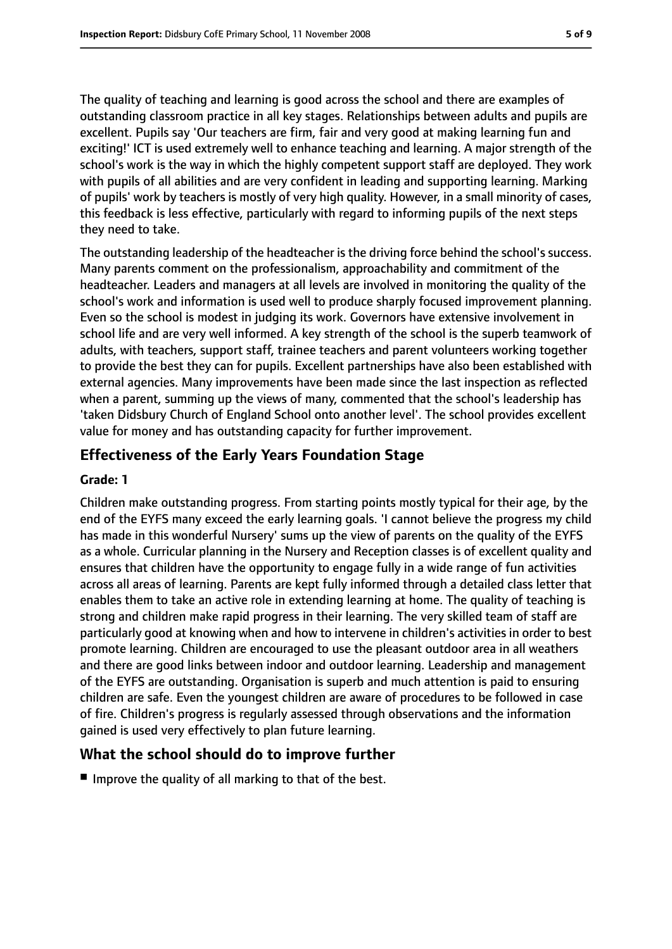The quality of teaching and learning is good across the school and there are examples of outstanding classroom practice in all key stages. Relationships between adults and pupils are excellent. Pupils say 'Our teachers are firm, fair and very good at making learning fun and exciting!' ICT is used extremely well to enhance teaching and learning. A major strength of the school's work is the way in which the highly competent support staff are deployed. They work with pupils of all abilities and are very confident in leading and supporting learning. Marking of pupils' work by teachers is mostly of very high quality. However, in a small minority of cases, this feedback is less effective, particularly with regard to informing pupils of the next steps they need to take.

The outstanding leadership of the headteacher is the driving force behind the school's success. Many parents comment on the professionalism, approachability and commitment of the headteacher. Leaders and managers at all levels are involved in monitoring the quality of the school's work and information is used well to produce sharply focused improvement planning. Even so the school is modest in judging its work. Governors have extensive involvement in school life and are very well informed. A key strength of the school is the superb teamwork of adults, with teachers, support staff, trainee teachers and parent volunteers working together to provide the best they can for pupils. Excellent partnerships have also been established with external agencies. Many improvements have been made since the last inspection as reflected when a parent, summing up the views of many, commented that the school's leadership has 'taken Didsbury Church of England School onto another level'. The school provides excellent value for money and has outstanding capacity for further improvement.

#### **Effectiveness of the Early Years Foundation Stage**

#### **Grade: 1**

Children make outstanding progress. From starting points mostly typical for their age, by the end of the EYFS many exceed the early learning goals. 'I cannot believe the progress my child has made in this wonderful Nursery' sums up the view of parents on the quality of the EYFS as a whole. Curricular planning in the Nursery and Reception classes is of excellent quality and ensures that children have the opportunity to engage fully in a wide range of fun activities across all areas of learning. Parents are kept fully informed through a detailed class letter that enables them to take an active role in extending learning at home. The quality of teaching is strong and children make rapid progress in their learning. The very skilled team of staff are particularly good at knowing when and how to intervene in children's activities in order to best promote learning. Children are encouraged to use the pleasant outdoor area in all weathers and there are good links between indoor and outdoor learning. Leadership and management of the EYFS are outstanding. Organisation is superb and much attention is paid to ensuring children are safe. Even the youngest children are aware of procedures to be followed in case of fire. Children's progress is regularly assessed through observations and the information gained is used very effectively to plan future learning.

#### **What the school should do to improve further**

■ Improve the quality of all marking to that of the best.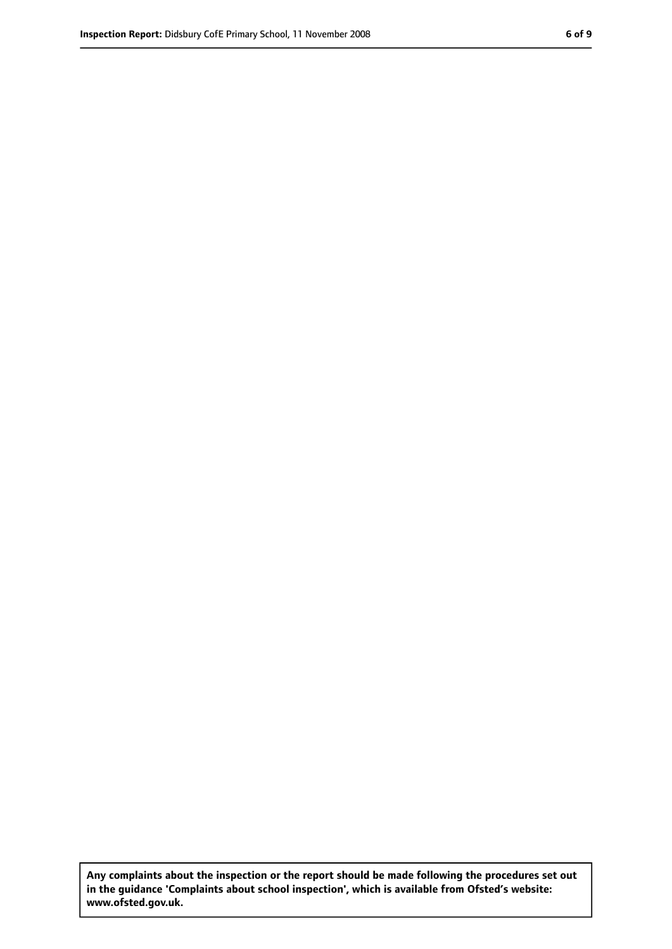**Any complaints about the inspection or the report should be made following the procedures set out in the guidance 'Complaints about school inspection', which is available from Ofsted's website: www.ofsted.gov.uk.**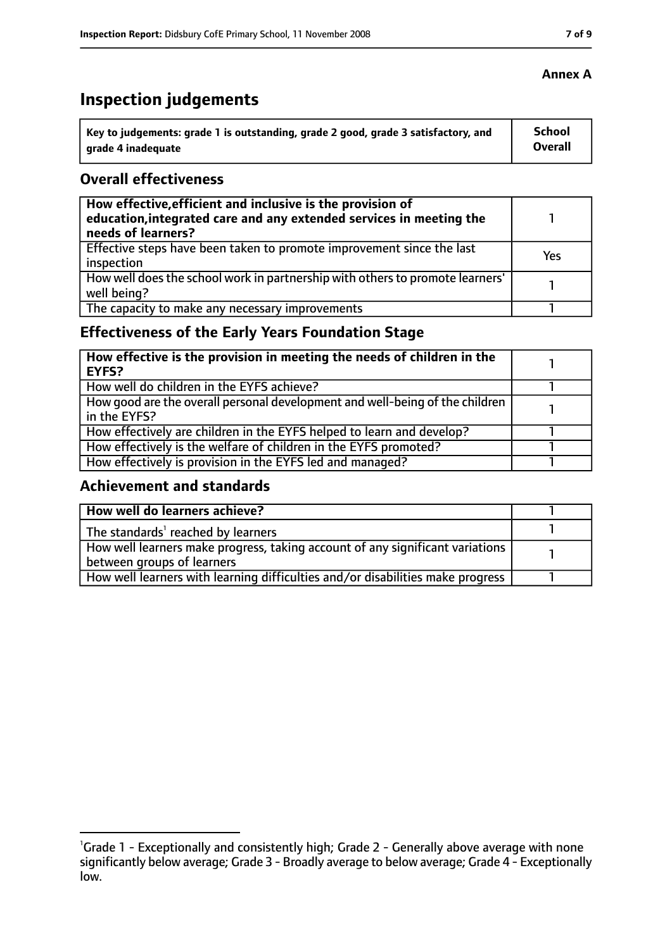# **Inspection judgements**

| Key to judgements: grade 1 is outstanding, grade 2 good, grade 3 satisfactory, and | School  |
|------------------------------------------------------------------------------------|---------|
| arade 4 inadequate                                                                 | Overall |

#### **Overall effectiveness**

| How effective, efficient and inclusive is the provision of<br>education, integrated care and any extended services in meeting the<br>needs of learners? |     |
|---------------------------------------------------------------------------------------------------------------------------------------------------------|-----|
| Effective steps have been taken to promote improvement since the last<br>inspection                                                                     | Yes |
| How well does the school work in partnership with others to promote learners'<br>well being?                                                            |     |
| The capacity to make any necessary improvements                                                                                                         |     |

## **Effectiveness of the Early Years Foundation Stage**

| How effective is the provision in meeting the needs of children in the<br>l EYFS?            |  |
|----------------------------------------------------------------------------------------------|--|
| How well do children in the EYFS achieve?                                                    |  |
| How good are the overall personal development and well-being of the children<br>in the EYFS? |  |
| How effectively are children in the EYFS helped to learn and develop?                        |  |
| How effectively is the welfare of children in the EYFS promoted?                             |  |
| How effectively is provision in the EYFS led and managed?                                    |  |

#### **Achievement and standards**

| How well do learners achieve?                                                               |  |
|---------------------------------------------------------------------------------------------|--|
| $\vert$ The standards <sup>1</sup> reached by learners                                      |  |
| $\mid$ How well learners make progress, taking account of any significant variations $\mid$ |  |
| between groups of learners                                                                  |  |
| How well learners with learning difficulties and/or disabilities make progress              |  |

#### **Annex A**

<sup>&</sup>lt;sup>1</sup>Grade 1 - Exceptionally and consistently high; Grade 2 - Generally above average with none significantly below average; Grade 3 - Broadly average to below average; Grade 4 - Exceptionally low.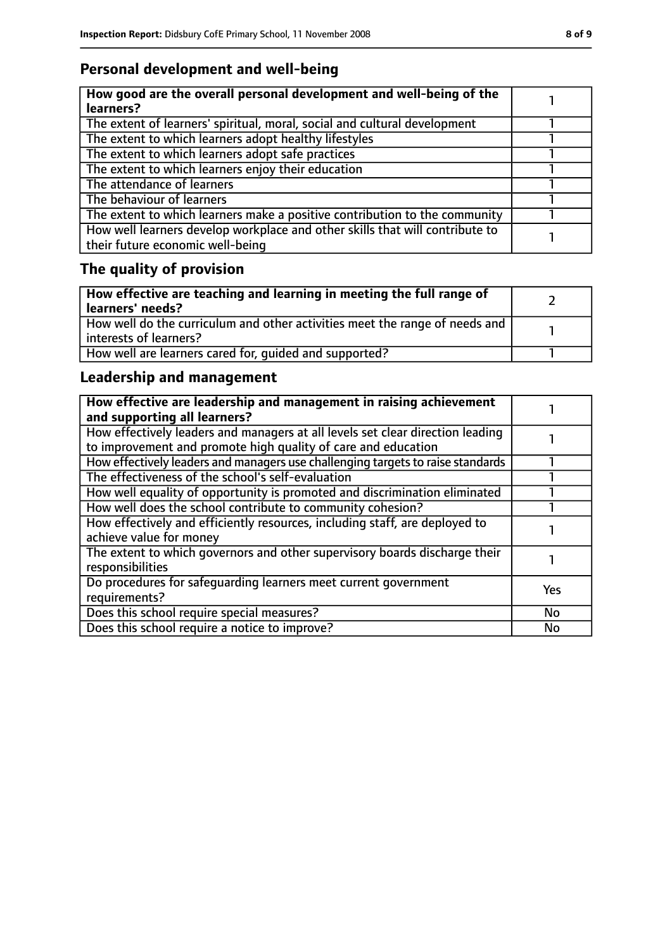## **Personal development and well-being**

| How good are the overall personal development and well-being of the<br>learners?                                 |  |
|------------------------------------------------------------------------------------------------------------------|--|
| The extent of learners' spiritual, moral, social and cultural development                                        |  |
| The extent to which learners adopt healthy lifestyles                                                            |  |
| The extent to which learners adopt safe practices                                                                |  |
| The extent to which learners enjoy their education                                                               |  |
| The attendance of learners                                                                                       |  |
| The behaviour of learners                                                                                        |  |
| The extent to which learners make a positive contribution to the community                                       |  |
| How well learners develop workplace and other skills that will contribute to<br>their future economic well-being |  |

# **The quality of provision**

| How effective are teaching and learning in meeting the full range of<br>learners' needs?              |  |
|-------------------------------------------------------------------------------------------------------|--|
| How well do the curriculum and other activities meet the range of needs and<br>interests of learners? |  |
| How well are learners cared for, quided and supported?                                                |  |

## **Leadership and management**

| How effective are leadership and management in raising achievement<br>and supporting all learners?                                              |           |
|-------------------------------------------------------------------------------------------------------------------------------------------------|-----------|
| How effectively leaders and managers at all levels set clear direction leading<br>to improvement and promote high quality of care and education |           |
| How effectively leaders and managers use challenging targets to raise standards                                                                 |           |
| The effectiveness of the school's self-evaluation                                                                                               |           |
| How well equality of opportunity is promoted and discrimination eliminated                                                                      |           |
| How well does the school contribute to community cohesion?                                                                                      |           |
| How effectively and efficiently resources, including staff, are deployed to<br>achieve value for money                                          |           |
| The extent to which governors and other supervisory boards discharge their<br>responsibilities                                                  |           |
| Do procedures for safequarding learners meet current government<br>requirements?                                                                | Yes       |
| Does this school require special measures?                                                                                                      | <b>No</b> |
| Does this school require a notice to improve?                                                                                                   | <b>No</b> |